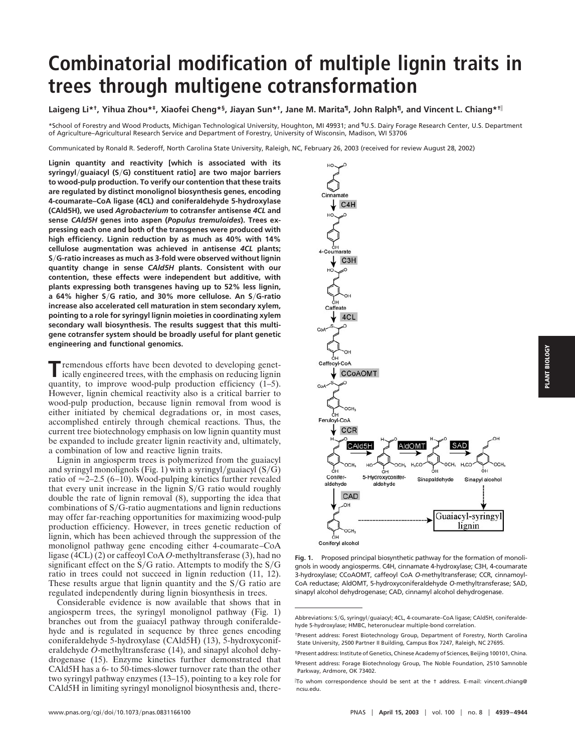## **Combinatorial modification of multiple lignin traits in trees through multigene cotransformation**

**Laigeng Li\*†, Yihua Zhou\*‡, Xiaofei Cheng\*§, Jiayan Sun\*†, Jane M. Marita¶, John Ralph¶, and Vincent L. Chiang\*†**

\*School of Forestry and Wood Products, Michigan Technological University, Houghton, MI 49931; and ¶U.S. Dairy Forage Research Center, U.S. Department of Agriculture–Agricultural Research Service and Department of Forestry, University of Wisconsin, Madison, WI 53706

Communicated by Ronald R. Sederoff, North Carolina State University, Raleigh, NC, February 26, 2003 (received for review August 28, 2002)

**Lignin quantity and reactivity [which is associated with its syringyl**-**guaiacyl (S**-**G) constituent ratio] are two major barriers to wood-pulp production. To verify our contention that these traits are regulated by distinct monolignol biosynthesis genes, encoding 4-coumarate–CoA ligase (4CL) and coniferaldehyde 5-hydroxylase (CAld5H), we used** *Agrobacterium* **to cotransfer antisense** *4CL* **and sense** *CAld5H* **genes into aspen (***Populus tremuloides***). Trees expressing each one and both of the transgenes were produced with high efficiency. Lignin reduction by as much as 40% with 14% cellulose augmentation was achieved in antisense** *4CL* **plants; S**-**G-ratio increases as much as 3-fold were observed without lignin quantity change in sense** *CAld5H* **plants. Consistent with our contention, these effects were independent but additive, with plants expressing both transgenes having up to 52% less lignin, a 64% higher S**-**G ratio, and 30% more cellulose. An S**-**G-ratio increase also accelerated cell maturation in stem secondary xylem, pointing to a role for syringyl lignin moieties in coordinating xylem secondary wall biosynthesis. The results suggest that this multigene cotransfer system should be broadly useful for plant genetic engineering and functional genomics.**

**T**remendous efforts have been devoted to developing genet-<br>ically engineered trees, with the emphasis on reducing ligning quantity, to improve wood-pulp production efficiency (1–5). However, lignin chemical reactivity also is a critical barrier to wood-pulp production, because lignin removal from wood is either initiated by chemical degradations or, in most cases, accomplished entirely through chemical reactions. Thus, the current tree biotechnology emphasis on low lignin quantity must be expanded to include greater lignin reactivity and, ultimately, a combination of low and reactive lignin traits.

Lignin in angiosperm trees is polymerized from the guaiacyl and syringyl monolignols (Fig. 1) with a syringyl/guaiacyl  $(S/G)$ ratio of  $\approx$  2–2.5 (6–10). Wood-pulping kinetics further revealed that every unit increase in the lignin  $S/G$  ratio would roughly double the rate of lignin removal (8), supporting the idea that combinations of  $S/G$ -ratio augmentations and lignin reductions may offer far-reaching opportunities for maximizing wood-pulp production efficiency. However, in trees genetic reduction of lignin, which has been achieved through the suppression of the monolignol pathway gene encoding either 4-coumarate–CoA ligase (4CL) (2) or caffeoyl CoA *O*-methyltransferase (3), had no significant effect on the  $S/G$  ratio. Attempts to modify the  $S/G$ ratio in trees could not succeed in lignin reduction (11, 12). These results argue that lignin quantity and the  $S/G$  ratio are regulated independently during lignin biosynthesis in trees.

Considerable evidence is now available that shows that in angiosperm trees, the syringyl monolignol pathway (Fig. 1) branches out from the guaiacyl pathway through coniferaldehyde and is regulated in sequence by three genes encoding coniferaldehyde 5-hydroxylase (CAld5H) (13), 5-hydroxyconiferaldehyde *O*-methyltransferase (14), and sinapyl alcohol dehydrogenase (15). Enzyme kinetics further demonstrated that CAld5H has a 6- to 50-times-slower turnover rate than the other two syringyl pathway enzymes (13–15), pointing to a key role for CAld5H in limiting syringyl monolignol biosynthesis and, there-



**Fig. 1.** Proposed principal biosynthetic pathway for the formation of monolignols in woody angiosperms. C4H, cinnamate 4-hydroxylase; C3H, 4-coumarate 3-hydroxylase; CCoAOMT, caffeoyl CoA *O*-methyltransferase; CCR, cinnamoyl-CoA reductase; AldOMT, 5-hydroxyconiferaldehyde *O*-methyltransferase; SAD, sinapyl alcohol dehydrogenase; CAD, cinnamyl alcohol dehydrogenase.

Abbreviations: S/G, syringyl/guaiacyl; 4CL, 4-coumarate–CoA ligase; CAld5H, coniferaldehyde 5-hydroxylase; HMBC, heteronuclear multiple-bond correlation.

<sup>†</sup>Present address: Forest Biotechnology Group, Department of Forestry, North Carolina State University, 2500 Partner II Building, Campus Box 7247, Raleigh, NC 27695.

<sup>‡</sup>Present address: Institute of Genetics, Chinese Academy of Sciences, Beijing 100101, China. §Present address: Forage Biotechnology Group, The Noble Foundation, 2510 Samnoble Parkway, Ardmore, OK 73402.

 $\mathbb T$ o whom correspondence should be sent at the † address. E-mail: vincent\_chiang@ ncsu.edu.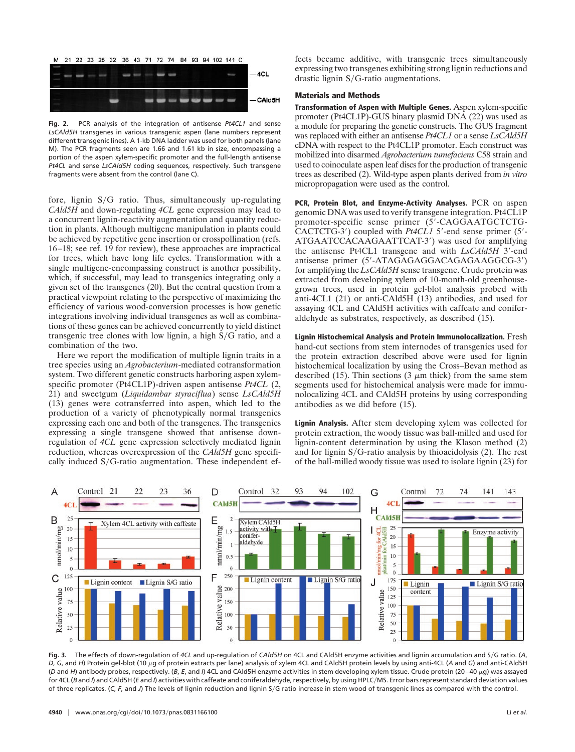

**Fig. 2.** PCR analysis of the integration of antisense *Pt4CL1* and sense *LsCAld5H* transgenes in various transgenic aspen (lane numbers represent different transgenic lines). A 1-kb DNA ladder was used for both panels (lane M). The PCR fragments seen are 1.66 and 1.61 kb in size, encompassing a portion of the aspen xylem-specific promoter and the full-length antisense *Pt4CL* and sense *LsCAld5H* coding sequences, respectively. Such transgene fragments were absent from the control (lane C).

fore, lignin S/G ratio. Thus, simultaneously up-regulating *CAld5H* and down-regulating *4CL* gene expression may lead to a concurrent lignin-reactivity augmentation and quantity reduction in plants. Although multigene manipulation in plants could be achieved by repetitive gene insertion or crosspollination (refs. 16–18; see ref. 19 for review), these approaches are impractical for trees, which have long life cycles. Transformation with a single multigene-encompassing construct is another possibility, which, if successful, may lead to transgenics integrating only a given set of the transgenes (20). But the central question from a practical viewpoint relating to the perspective of maximizing the efficiency of various wood-conversion processes is how genetic integrations involving individual transgenes as well as combinations of these genes can be achieved concurrently to yield distinct transgenic tree clones with low lignin, a high  $S/G$  ratio, and a combination of the two.

Here we report the modification of multiple lignin traits in a tree species using an *Agrobacterium*-mediated cotransformation system. Two different genetic constructs harboring aspen xylemspecific promoter (Pt4CL1P)-driven aspen antisense *Pt4CL* (2, 21) and sweetgum (*Liquidambar styraciflua*) sense *LsCAld5H* (13) genes were cotransferred into aspen, which led to the production of a variety of phenotypically normal transgenics expressing each one and both of the transgenes. The transgenics expressing a single transgene showed that antisense downregulation of *4CL* gene expression selectively mediated lignin reduction, whereas overexpression of the *CAld5H* gene specifically induced S/G-ratio augmentation. These independent effects became additive, with transgenic trees simultaneously expressing two transgenes exhibiting strong lignin reductions and drastic lignin  $S/G$ -ratio augmentations.

## **Materials and Methods**

**Transformation of Aspen with Multiple Genes.** Aspen xylem-specific promoter (Pt4CL1P)-GUS binary plasmid DNA (22) was used as a module for preparing the genetic constructs. The GUS fragment was replaced with either an antisense *Pt4CL1* or a sense *LsCAld5H* cDNA with respect to the Pt4CL1P promoter. Each construct was mobilized into disarmed *Agrobacterium tumefaciens* C58 strain and used to coinoculate aspen leaf discs for the production of transgenic trees as described (2). Wild-type aspen plants derived from *in vitro* micropropagation were used as the control.

**PCR, Protein Blot, and Enzyme-Activity Analyses.** PCR on aspen genomic DNA was used to verify transgene integration. Pt4CL1P promoter-specific sense primer (5'-CAGGAATGCTCTG-CACTCTG-3') coupled with *Pt4CL1* 5'-end sense primer (5'-ATGAATCCACAAGAATTCAT-3') was used for amplifying the antisense Pt4CL1 transgene and with *LsCAld5H* 3'-end antisense primer (5'-ATAGAGAGGACAGAGAAGGCG-3') for amplifying the *LsCAld5H* sense transgene. Crude protein was extracted from developing xylem of 10-month-old greenhousegrown trees, used in protein gel-blot analysis probed with anti-4CL1 (21) or anti-CAld5H (13) antibodies, and used for assaying 4CL and CAld5H activities with caffeate and coniferaldehyde as substrates, respectively, as described (15).

**Lignin Histochemical Analysis and Protein Immunolocalization.** Fresh hand-cut sections from stem internodes of transgenics used for the protein extraction described above were used for lignin histochemical localization by using the Cross–Bevan method as described (15). Thin sections (3  $\mu$ m thick) from the same stem segments used for histochemical analysis were made for immunolocalizing 4CL and CAld5H proteins by using corresponding antibodies as we did before (15).

**Lignin Analysis.** After stem developing xylem was collected for protein extraction, the woody tissue was ball-milled and used for lignin-content determination by using the Klason method (2) and for lignin  $S/G$ -ratio analysis by thioacidolysis (2). The rest of the ball-milled woody tissue was used to isolate lignin (23) for



**Fig. 3.** The effects of down-regulation of *4CL* and up-regulation of *CAld5H* on 4CL and CAld5H enzyme activities and lignin accumulation and S-G ratio. (*A*, *D*, *G*, and *H*) Protein gel-blot (10 μg of protein extracts per lane) analysis of xylem 4CL and CAld5H protein levels by using anti-4CL (*A* and *G*) and anti-CAld5H (*D* and *H*) antibody probes, respectively. (*B*, *E*, and *I*) 4CL and CAld5H enzyme activities in stem developing xylem tissue. Crude protein (20–40 g) was assayed for 4CL (*B* and *I*) and CAld5H (*E* and *I*) activities with caffeate and coniferaldehyde, respectively, by using HPLC-MS. Error bars represent standard deviation values of three replicates. (C, F, and J) The levels of lignin reduction and lignin S/G ratio increase in stem wood of transgenic lines as compared with the control.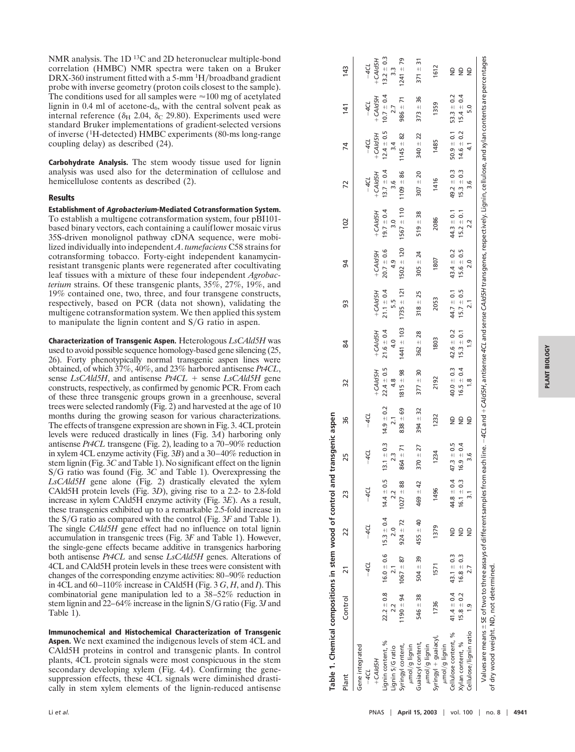NMR analysis. The 1D 13C and 2D heteronuclear multiple-bond correlation (HMBC) NMR spectra were taken on a Bruker DRX-360 instrument fitted with a 5-mm <sup>1</sup>H/broadband gradient probe with inverse geometry (proton coils closest to the sample). The conditions used for all samples were  $\approx$ 100 mg of acetylated lignin in 0.4 ml of acetone-d 6, with the central solvent peak as internal reference ( $\delta_{\rm H}$  2.04,  $\delta_{\rm C}$  29.80). Experiments used were standard Bruker implementations of gradient-selected versions of inverse ( 1H-detected) HMBC experiments (80-ms long-range coupling delay) as described (24).

**Carbohydrate Analysis.** The stem woody tissue used for lignin analysis was used also for the determination of cellulose and hemicellulose contents as described (2).

## **Results**

**Establishment of Agrobacterium-Mediated Cotransformation System.** To establish a multigene cotransformation system, four pBI101 based binary vectors, each containing a cauliflower mosaic virus 35S-driven monolignol pathway cDNA sequence, were mobilized individually into independent *A*. *tumefaciens* C58 strains for cotransforming tobacco. Forty-eight independent kanamycinresistant transgenic plants were regenerated after cocultivating leaf tissues with a mixture of these four independent *Agrobacterium* strains. Of these transgenic plants, 35%, 27%, 19%, and 19% contained one, two, three, and four transgene constructs, respectively, based on PCR (data not shown), validating the multigene cotransformation system. We then applied this system to manipulate the lignin content and  $S/G$  ratio in aspen.

**Characterization of Transgenic Aspen.** Heterologous *LsCAld5H* was used to avoid possible sequence homology-based gene silencing (25, 26). Forty phenotypically normal transgenic aspen lines were obtained, of which 37%, 40%, and 23% harbored antisense *Pt4CL* , sense *LsCAld5H*, and antisense *Pt4CL* + sense *LsCAld5H* gene constructs, respectively, as confirmed by genomic PCR. From each of these three transgenic groups grown in a greenhouse, several trees were selected randomly (Fig. 2) and harvested at the age of 10 months during the growing season for various characterizations. The effects of transgene expression are shown in Fig. 3. 4CL protein levels were reduced drastically in lines (Fig. 3*A*) harboring only antisense *Pt4CL* transgene (Fig. 2), leading to a 70 –90% reduction in xylem 4CL enzyme activity (Fig. 3*B*) and a 30 –40% reduction in stem lignin (Fig. 3 *C* and Table 1). No significant effect on the lignin S/G ratio was found (Fig. 3C and Table 1). Overexpressing the *LsCAld5H* gene alone (Fig. 2) drastically elevated the xylem CAld5H protein levels (Fig. 3*D*), giving rise to a 2.2- to 2.8-fold increase in xylem CAld5H enzyme activity (Fig. 3*E*). As a result, these transgenics exhibited up to a remarkable 2.5-fold increase in the S/G ratio as compared with the control (Fig. 3F and Table 1). The single *CAld5H* gene effect had no influence on total lignin accumulation in transgenic trees (Fig. 3*F* and Table 1). However, the single-gene effects became additive in transgenics harboring both antisense *Pt4CL* and sense *LsCAld5H* genes. Alterations of 4CL and CAld5H protein levels in these trees were consistent with changes of the corresponding enzyme activities: 80 –90% reduction in 4CL and 60 –110% increase in CAld5H (Fig. 3 *G* , *H*, and *I*). This combinatorial gene manipulation led to a 38 –52% reduction in stem lignin and 22–64% increase in the lignin S/G ratio (Fig. 3J and Table 1).

**Immunochemical and Histochemical Characterization of Transgenic Aspen.** We next examined the indigenous levels of stem 4CL and CAld5H proteins in control and transgenic plants. In control plants, 4CL protein signals were most conspicuous in the stem secondary developing xylem (Fig. 4*A*). Confirming the genesuppression effects, these 4CL signals were diminished drastically in stem xylem elements of the lignin-reduced antisense

| Plant                                                                                                                                                                                                                                                           | Control        | $\overline{21}$                                             | 22                 | 23             | 25             | 36               | 32             | 84             | SS                     | 54             | 102            | 72             | 74               | 141            | 143            |
|-----------------------------------------------------------------------------------------------------------------------------------------------------------------------------------------------------------------------------------------------------------------|----------------|-------------------------------------------------------------|--------------------|----------------|----------------|------------------|----------------|----------------|------------------------|----------------|----------------|----------------|------------------|----------------|----------------|
| Gene integrated<br>-4CL                                                                                                                                                                                                                                         |                |                                                             | $-4C$              | $-4C$          |                |                  |                |                |                        |                |                | $-4CL$         | $-4CL$           | $-4CL$         | $-4C$          |
| $+$ CAId5H                                                                                                                                                                                                                                                      |                |                                                             |                    |                |                |                  | +CAId5H        | $+$ CAld5H     | $+$ CAId <sub>5H</sub> | $+$ CAId5H     | $+$ CAId5H     | $+$ CAId5H     | $+$ CAld5H       | $+$ CAId5H     | +CAId5H        |
| Lignin content, %                                                                                                                                                                                                                                               |                | $22.2 \pm 0.8$ 16.0 $\pm$ 0.6 15.3 $\pm$ 0.4 14.4 $\pm$ 0.5 |                    |                | $13.1 \pm 0.3$ | $14.9 \pm 0.2$   | $22.4 \pm 0.5$ | $21.6 \pm 0.4$ | $21.1 \pm 0.4$         | $20.7 \pm 0.6$ | $19.7 \pm 0.4$ | $13.7 \pm 0.4$ | $12.4 \pm 0.5$   | $10.7 \pm 0.4$ | $13.2 \pm 0.3$ |
| Lignin S/G ratio                                                                                                                                                                                                                                                | 2.2            | $\overline{2.1}$                                            | $\frac{0}{2}$      | 2.2            | 2.3            | $\overline{2.1}$ | 4.8            | 4.0            | 5.5                    | 4.9            | 3.0            | 3.6            | $\overline{3.4}$ |                | $\frac{3}{3}$  |
| Syringyl content,<br>umol/g lignin                                                                                                                                                                                                                              | $1190 + 94$    | $1067 + 87$                                                 | $924 \pm 72$       | $1027 - 88$    | $864 \pm 71$   | $838 + 69$       | $1815 \pm 98$  | $1441 \pm 103$ | $1735 \pm 121$         | $1502 + 120$   | $1567 \pm 110$ | $1109 + 86$    | $145 \pm 82$     | $986 \pm 71$   | $1241 \pm 79$  |
| Guaiacyl content,                                                                                                                                                                                                                                               | $546 \pm 38$   | $504 \pm 39$                                                | $455 \pm 40$       | $469 \pm 42$   | $370 + 27$     | $394 \pm 32$     | $377 \pm 30$   | $362 + 28$     | $318 \pm 25$           | $305 \pm 24$   | $519 \pm 38$   | $307 + 20$     | $340 + 22$       | $373 + 36$     | $371 \pm 31$   |
| Syringyl + guaiacyl,<br>umol/g lignin                                                                                                                                                                                                                           | 1736           | 1571                                                        | 1379               | 1496           | 1234           | 1232             | 2192           | 1803           | 2053                   | 1807           | 2086           | 1416           | 1485             | 1359           | 1612           |
| Cellulose content, %<br>umol/g lignin                                                                                                                                                                                                                           |                | $41.4 \pm 0.4$ $43.1 \pm 0.3$                               | $\trianglerighteq$ | $44.8 \pm 0.4$ | $47.3 \pm 0.5$ | $\frac{1}{2}$    | $40.0 \pm 0.3$ | $42.6 \pm 0.2$ | $44.7 \pm 0.1$         | $43.4 \pm 0.2$ | $44.3 \pm 0.1$ | $49.2 \pm 0.3$ | $50.9 \pm 0.1$   | $53.3 \pm 0.2$ | g              |
| Xylan content, %                                                                                                                                                                                                                                                | $15.8 \pm 0.2$ | $16.8 \pm 0.3$                                              | $\overline{z}$     | $16.1 \pm 0.3$ | $16.9 \pm 0.4$ | $\frac{1}{2}$    | $16.5 \pm 0.4$ | $15.3 \pm 0.1$ | $15.7 \pm 0.5$         | $15.6 \pm 0.5$ | $15.2 \pm 0.1$ | $15.3 \pm 0.3$ | $14.6 \pm 0.2$   | $15.4 \pm 0.4$ | g              |
| Cellulose/lignin ratio                                                                                                                                                                                                                                          | $\ddot{ }$     | 27                                                          | $\trianglerighteq$ |                | 3.6            | $\frac{1}{2}$    | $\frac{8}{1}$  | $\frac{0}{2}$  | $\overline{2.1}$       | 2.0            |                | 3.6            | 4.1              | 5.0            | ₿              |
| Values are means ± SE of two to three assays of different samples from each line. - 4CL and + CAId5H, antisense 4CL and sense CAId5H transgenes, respectively. Lignin, cellulose, and xylan contents are percentages<br>of dry wood weight. ND, not determined. |                |                                                             |                    |                |                |                  |                |                |                        |                |                |                |                  |                |                |

Table 1. Chemical compositions in stem wood of control and transgenic aspen

able 1. Chemical compositions in stem wood of control and transgenic aspen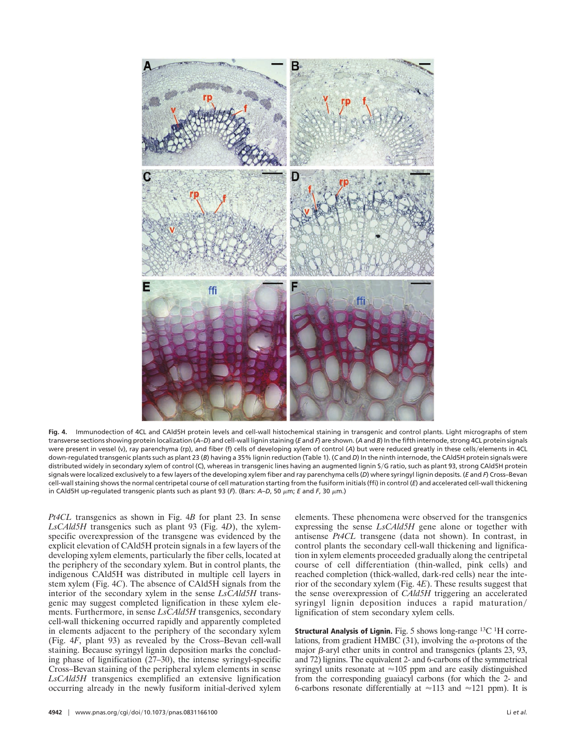

**Fig. 4.** Immunodection of 4CL and CAld5H protein levels and cell-wall histochemical staining in transgenic and control plants. Light micrographs of stem transverse sections showing protein localization (*A*–*D*) and cell-wall lignin staining (*E* and *F*) are shown. (*A* and *B*) In the fifth internode, strong 4CL protein signals were present in vessel (v), ray parenchyma (rp), and fiber (f) cells of developing xylem of control (A) but were reduced greatly in these cells/elements in 4CL down-regulated transgenic plants such as plant 23 (*B*) having a 35% lignin reduction (Table 1). (*C* and *D*) In the ninth internode, the CAld5H protein signals were distributed widely in secondary xylem of control (C), whereas in transgenic lines having an augmented lignin S/G ratio, such as plant 93, strong CAld5H protein signals were localized exclusively to a few layers of the developing xylem fiber and ray parenchyma cells (*D*) where syringyl lignin deposits. (*E* and *F*) Cross–Bevan cell-wall staining shows the normal centripetal course of cell maturation starting from the fusiform initials (ffi) in control (*E*) and accelerated cell-wall thickening in CAld5H up-regulated transgenic plants such as plant 93 ( $F$ ). (Bars:  $A-D$ , 50  $\mu$ m; *E* and *F*, 30  $\mu$ m.)

*Pt4CL* transgenics as shown in Fig. 4*B* for plant 23. In sense *LsCAld5H* transgenics such as plant 93 (Fig. 4*D*), the xylemspecific overexpression of the transgene was evidenced by the explicit elevation of CAld5H protein signals in a few layers of the developing xylem elements, particularly the fiber cells, located at the periphery of the secondary xylem. But in control plants, the indigenous CAld5H was distributed in multiple cell layers in stem xylem (Fig. 4*C*). The absence of CAld5H signals from the interior of the secondary xylem in the sense *LsCAld5H* transgenic may suggest completed lignification in these xylem elements. Furthermore, in sense *LsCAld5H* transgenics, secondary cell-wall thickening occurred rapidly and apparently completed in elements adjacent to the periphery of the secondary xylem (Fig. 4*F*, plant 93) as revealed by the Cross–Bevan cell-wall staining. Because syringyl lignin deposition marks the concluding phase of lignification (27–30), the intense syringyl-specific Cross–Bevan staining of the peripheral xylem elements in sense *LsCAld5H* transgenics exemplified an extensive lignification occurring already in the newly fusiform initial-derived xylem

course of cell differentiation (thin-walled, pink cells) and reached completion (thick-walled, dark-red cells) near the interior of the secondary xylem (Fig. 4*E*). These results suggest that the sense overexpression of *CAld5H* triggering an accelerated syringyl lignin deposition induces a rapid maturation/ lignification of stem secondary xylem cells. **Structural Analysis of Lignin.** Fig. 5 shows long-range <sup>13</sup>C <sup>1</sup>H corre-

lations, from gradient HMBC (31), involving the  $\alpha$ -protons of the major  $\beta$ -aryl ether units in control and transgenics (plants 23, 93, and 72) lignins. The equivalent 2- and 6-carbons of the symmetrical syringyl units resonate at  $\approx$ 105 ppm and are easily distinguished from the corresponding guaiacyl carbons (for which the 2- and 6-carbons resonate differentially at  $\approx$  113 and  $\approx$  121 ppm). It is

elements. These phenomena were observed for the transgenics expressing the sense *LsCAld5H* gene alone or together with antisense *Pt4CL* transgene (data not shown). In contrast, in control plants the secondary cell-wall thickening and lignification in xylem elements proceeded gradually along the centripetal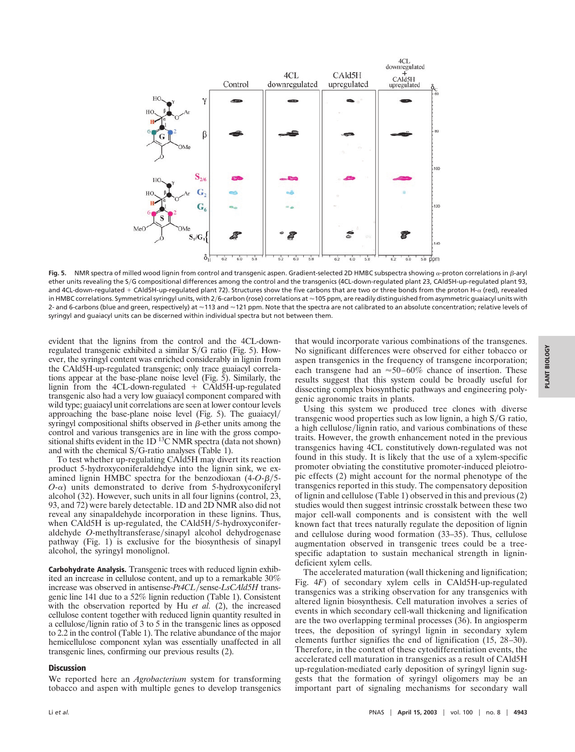

Fig. 5. NMR spectra of milled wood lignin from control and transgenic aspen. Gradient-selected 2D HMBC subspectra showing  $\alpha$ -proton correlations in  $\beta$ -aryl ether units revealing the S/G compositional differences among the control and the transgenics (4CL-down-regulated plant 23, CAld5H-up-regulated plant 93, and 4CL-down-regulated + CAld5H-up-regulated plant 72). Structures show the five carbons that are two or three bonds from the proton H-a (red), revealed in HMBC correlations. Symmetrical syringyl units, with 2/6-carbon (rose) correlations at ≈105 ppm, are readily distinguished from asymmetric guaiacyl units with 2- and 6-carbons (blue and green, respectively) at  $\approx$ 113 and  $\approx$ 121 ppm. Note that the spectra are not calibrated to an absolute concentration; relative levels of syringyl and guaiacyl units can be discerned within individual spectra but not between them.

evident that the lignins from the control and the 4CL-downregulated transgenic exhibited a similar S/G ratio (Fig. 5). However, the syringyl content was enriched considerably in lignin from the CAld5H-up-regulated transgenic; only trace guaiacyl correlations appear at the base-plane noise level (Fig. 5). Similarly, the lignin from the 4CL-down-regulated  $+$  CAld5H-up-regulated transgenic also had a very low guaiacyl component compared with wild type; guaiacyl unit correlations are seen at lower contour levels approaching the base-plane noise level (Fig. 5). The guaiacyl/ syringyl compositional shifts observed in  $\beta$ -ether units among the control and various transgenics are in line with the gross compositional shifts evident in the 1D<sup>13</sup>C NMR spectra (data not shown) and with the chemical  $S/G$ -ratio analyses (Table 1).

To test whether up-regulating CAld5H may divert its reaction product 5-hydroxyconiferaldehdye into the lignin sink, we examined lignin HMBC spectra for the benzodioxan  $(4-O-\beta)$ <sup>5</sup>  $O$ - $\alpha$ ) units demonstrated to derive from 5-hydroxyconiferyl alcohol (32). However, such units in all four lignins (control, 23, 93, and 72) were barely detectable. 1D and 2D NMR also did not reveal any sinapaldehyde incorporation in these lignins. Thus, when CAld5H is up-regulated, the CAld5H/5-hydroxyconiferaldehyde O-methyltransferase/sinapyl alcohol dehydrogenase pathway (Fig. 1) is exclusive for the biosynthesis of sinapyl alcohol, the syringyl monolignol.

**Carbohydrate Analysis.** Transgenic trees with reduced lignin exhibited an increase in cellulose content, and up to a remarkable 30% increase was observed in antisense-*Pt4CL*-sense-*LsCAld5H* transgenic line 141 due to a 52% lignin reduction (Table 1). Consistent with the observation reported by Hu *et al.* (2), the increased cellulose content together with reduced lignin quantity resulted in a cellulose/lignin ratio of 3 to 5 in the transgenic lines as opposed to 2.2 in the control (Table 1). The relative abundance of the major hemicellulose component xylan was essentially unaffected in all transgenic lines, confirming our previous results (2).

## **Discussion**

We reported here an *Agrobacterium* system for transforming tobacco and aspen with multiple genes to develop transgenics that would incorporate various combinations of the transgenes. No significant differences were observed for either tobacco or aspen transgenics in the frequency of transgene incorporation; each transgene had an  $\approx$  50–60% chance of insertion. These results suggest that this system could be broadly useful for dissecting complex biosynthetic pathways and engineering polygenic agronomic traits in plants.

Using this system we produced tree clones with diverse transgenic wood properties such as low lignin, a high S/G ratio, a high cellulose/lignin ratio, and various combinations of these traits. However, the growth enhancement noted in the previous transgenics having 4CL constitutively down-regulated was not found in this study. It is likely that the use of a xylem-specific promoter obviating the constitutive promoter-induced pleiotropic effects (2) might account for the normal phenotype of the transgenics reported in this study. The compensatory deposition of lignin and cellulose (Table 1) observed in this and previous (2) studies would then suggest intrinsic crosstalk between these two major cell-wall components and is consistent with the well known fact that trees naturally regulate the deposition of lignin and cellulose during wood formation (33–35). Thus, cellulose augmentation observed in transgenic trees could be a treespecific adaptation to sustain mechanical strength in lignindeficient xylem cells.

The accelerated maturation (wall thickening and lignification; Fig. 4*F*) of secondary xylem cells in CAld5H-up-regulated transgenics was a striking observation for any transgenics with altered lignin biosynthesis. Cell maturation involves a series of events in which secondary cell-wall thickening and lignification are the two overlapping terminal processes (36). In angiosperm trees, the deposition of syringyl lignin in secondary xylem elements further signifies the end of lignification (15, 28–30). Therefore, in the context of these cytodifferentiation events, the accelerated cell maturation in transgenics as a result of CAld5H up-regulation-mediated early deposition of syringyl lignin suggests that the formation of syringyl oligomers may be an important part of signaling mechanisms for secondary wall